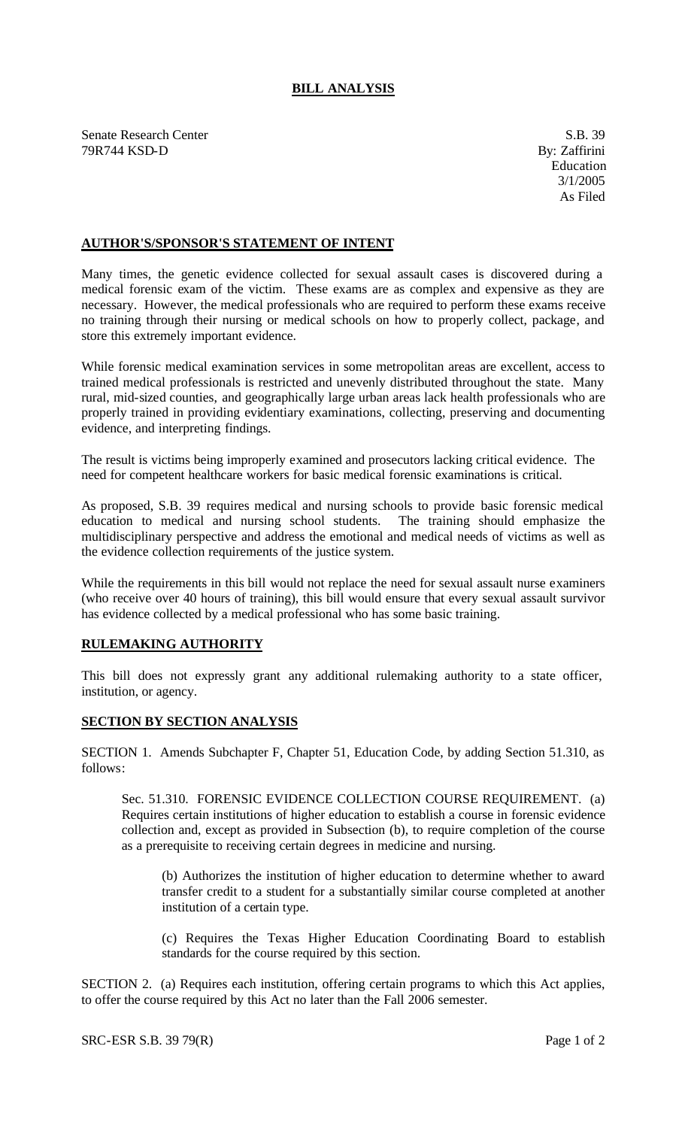## **BILL ANALYSIS**

Senate Research Center S.B. 39 79R744 KSD-D By: Zaffirini

## **AUTHOR'S/SPONSOR'S STATEMENT OF INTENT**

Many times, the genetic evidence collected for sexual assault cases is discovered during a medical forensic exam of the victim. These exams are as complex and expensive as they are necessary. However, the medical professionals who are required to perform these exams receive no training through their nursing or medical schools on how to properly collect, package, and store this extremely important evidence.

While forensic medical examination services in some metropolitan areas are excellent, access to trained medical professionals is restricted and unevenly distributed throughout the state. Many rural, mid-sized counties, and geographically large urban areas lack health professionals who are properly trained in providing evidentiary examinations, collecting, preserving and documenting evidence, and interpreting findings.

The result is victims being improperly examined and prosecutors lacking critical evidence. The need for competent healthcare workers for basic medical forensic examinations is critical.

As proposed, S.B. 39 requires medical and nursing schools to provide basic forensic medical education to medical and nursing school students. The training should emphasize the multidisciplinary perspective and address the emotional and medical needs of victims as well as the evidence collection requirements of the justice system.

While the requirements in this bill would not replace the need for sexual assault nurse examiners (who receive over 40 hours of training), this bill would ensure that every sexual assault survivor has evidence collected by a medical professional who has some basic training.

## **RULEMAKING AUTHORITY**

This bill does not expressly grant any additional rulemaking authority to a state officer, institution, or agency.

## **SECTION BY SECTION ANALYSIS**

SECTION 1. Amends Subchapter F, Chapter 51, Education Code, by adding Section 51.310, as follows:

Sec. 51.310. FORENSIC EVIDENCE COLLECTION COURSE REQUIREMENT. (a) Requires certain institutions of higher education to establish a course in forensic evidence collection and, except as provided in Subsection (b), to require completion of the course as a prerequisite to receiving certain degrees in medicine and nursing.

(b) Authorizes the institution of higher education to determine whether to award transfer credit to a student for a substantially similar course completed at another institution of a certain type.

(c) Requires the Texas Higher Education Coordinating Board to establish standards for the course required by this section.

SECTION 2. (a) Requires each institution, offering certain programs to which this Act applies, to offer the course required by this Act no later than the Fall 2006 semester.